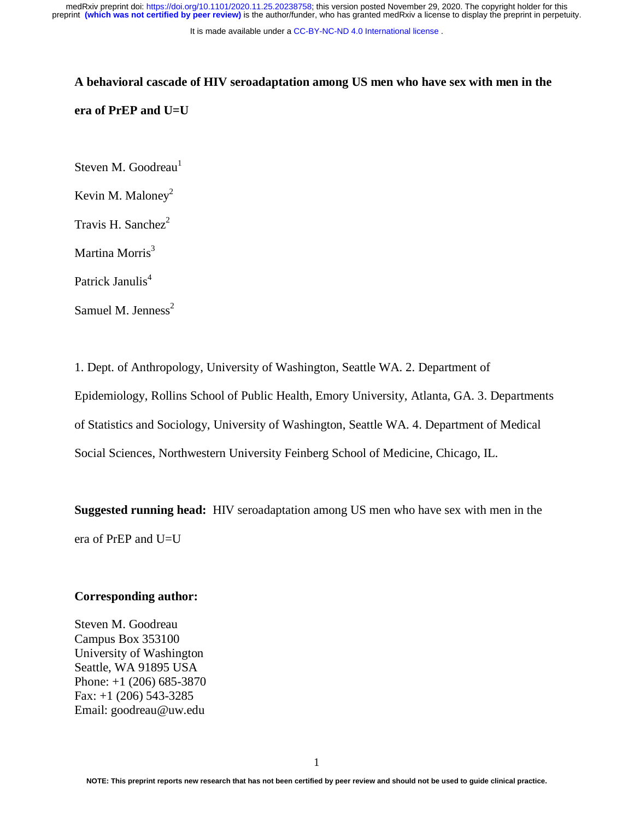It is made available under a [CC-BY-NC-ND 4.0 International license](http://creativecommons.org/licenses/by-nc-nd/4.0/) .

# **A behavioral cascade of HIV seroadaptation among US men who have sex with men in the era of PrEP and U=U**

Steven M. Goodreau $<sup>1</sup>$ </sup>

Kevin M. Maloney<sup>2</sup>

Travis H. Sanchez $2$ 

Martina Morris<sup>3</sup>

Patrick Janulis<sup>4</sup>

Samuel M. Jenness<sup>2</sup>

1. Dept. of Anthropology, University of Washington, Seattle WA. 2. Department of Epidemiology, Rollins School of Public Health, Emory University, Atlanta, GA. 3. Departments of Statistics and Sociology, University of Washington, Seattle WA. 4. Department of Medical Social Sciences, Northwestern University Feinberg School of Medicine, Chicago, IL.

**Suggested running head:** HIV seroadaptation among US men who have sex with men in the era of PrEP and U=U

#### **Corresponding author:**

Steven M. Goodreau Campus Box 353100 University of Washington Seattle, WA 91895 USA Phone: +1 (206) 685-3870 Fax:  $+1$  (206) 543-3285 Email: goodreau@uw.edu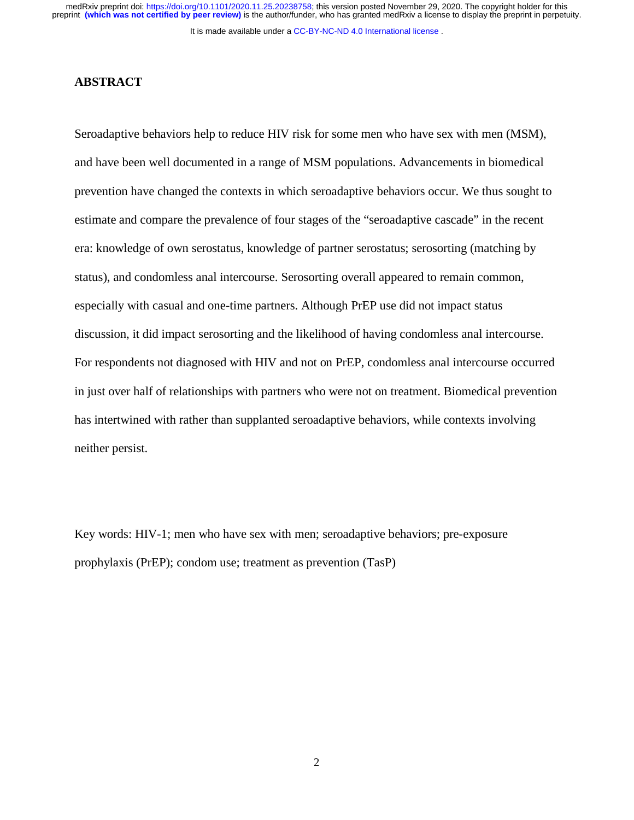It is made available under a [CC-BY-NC-ND 4.0 International license](http://creativecommons.org/licenses/by-nc-nd/4.0/) .

## **ABSTRACT**

Seroadaptive behaviors help to reduce HIV risk for some men who have sex with men (MSM), and have been well documented in a range of MSM populations. Advancements in biomedical prevention have changed the contexts in which seroadaptive behaviors occur. We thus sought to estimate and compare the prevalence of four stages of the "seroadaptive cascade" in the recent era: knowledge of own serostatus, knowledge of partner serostatus; serosorting (matching by status), and condomless anal intercourse. Serosorting overall appeared to remain common, especially with casual and one-time partners. Although PrEP use did not impact status discussion, it did impact serosorting and the likelihood of having condomless anal intercourse. For respondents not diagnosed with HIV and not on PrEP, condomless anal intercourse occurred in just over half of relationships with partners who were not on treatment. Biomedical prevention has intertwined with rather than supplanted seroadaptive behaviors, while contexts involving neither persist.

Key words: HIV-1; men who have sex with men; seroadaptive behaviors; pre-exposure prophylaxis (PrEP); condom use; treatment as prevention (TasP)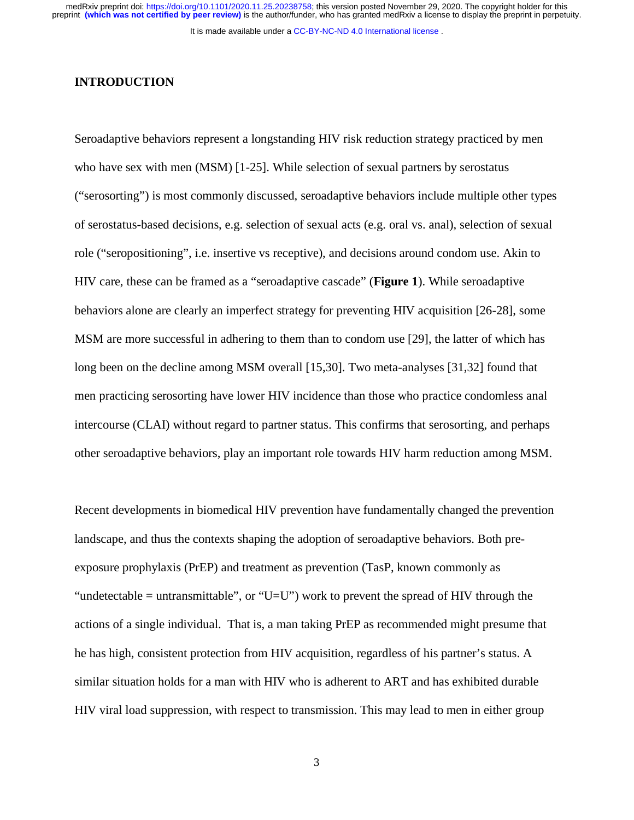It is made available under a [CC-BY-NC-ND 4.0 International license](http://creativecommons.org/licenses/by-nc-nd/4.0/) .

#### **INTRODUCTION**

Seroadaptive behaviors represent a longstanding HIV risk reduction strategy practiced by men who have sex with men (MSM) [1-25]. While selection of sexual partners by serostatus ("serosorting") is most commonly discussed, seroadaptive behaviors include multiple other types of serostatus-based decisions, e.g. selection of sexual acts (e.g. oral vs. anal), selection of sexual role ("seropositioning", i.e. insertive vs receptive), and decisions around condom use. Akin to HIV care, these can be framed as a "seroadaptive cascade" (**Figure 1**). While seroadaptive behaviors alone are clearly an imperfect strategy for preventing HIV acquisition [26-28], some MSM are more successful in adhering to them than to condom use [29], the latter of which has long been on the decline among MSM overall [15,30]. Two meta-analyses [31,32] found that men practicing serosorting have lower HIV incidence than those who practice condomless anal intercourse (CLAI) without regard to partner status. This confirms that serosorting, and perhaps other seroadaptive behaviors, play an important role towards HIV harm reduction among MSM.

Recent developments in biomedical HIV prevention have fundamentally changed the prevention landscape, and thus the contexts shaping the adoption of seroadaptive behaviors. Both preexposure prophylaxis (PrEP) and treatment as prevention (TasP, known commonly as "undetectable = untransmittable", or "U=U") work to prevent the spread of HIV through the actions of a single individual. That is, a man taking PrEP as recommended might presume that he has high, consistent protection from HIV acquisition, regardless of his partner's status. A similar situation holds for a man with HIV who is adherent to ART and has exhibited durable HIV viral load suppression, with respect to transmission. This may lead to men in either group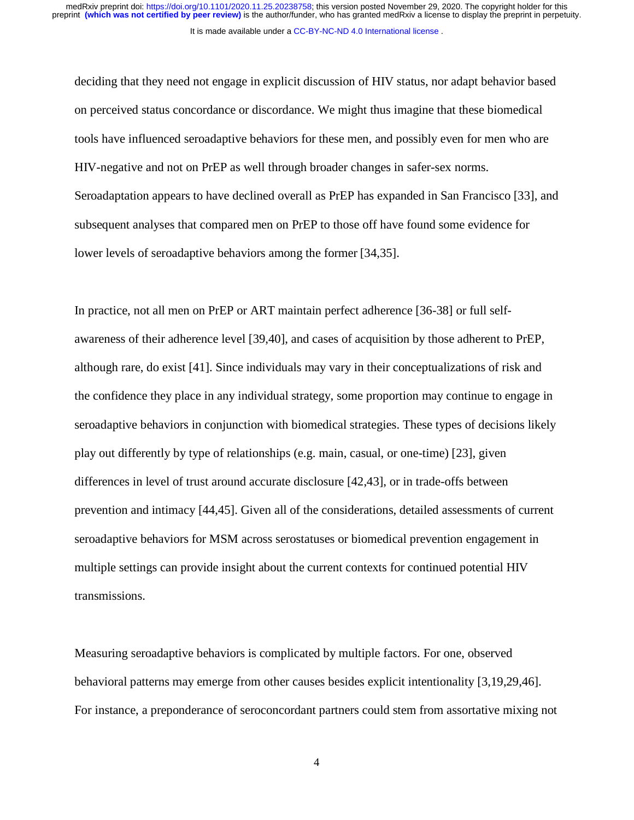It is made available under a [CC-BY-NC-ND 4.0 International license](http://creativecommons.org/licenses/by-nc-nd/4.0/) .

deciding that they need not engage in explicit discussion of HIV status, nor adapt behavior based on perceived status concordance or discordance. We might thus imagine that these biomedical tools have influenced seroadaptive behaviors for these men, and possibly even for men who are HIV-negative and not on PrEP as well through broader changes in safer-sex norms. Seroadaptation appears to have declined overall as PrEP has expanded in San Francisco [33], and subsequent analyses that compared men on PrEP to those off have found some evidence for lower levels of seroadaptive behaviors among the former [34,35].

In practice, not all men on PrEP or ART maintain perfect adherence [36-38] or full selfawareness of their adherence level [39,40], and cases of acquisition by those adherent to PrEP, although rare, do exist [41]. Since individuals may vary in their conceptualizations of risk and the confidence they place in any individual strategy, some proportion may continue to engage in seroadaptive behaviors in conjunction with biomedical strategies. These types of decisions likely play out differently by type of relationships (e.g. main, casual, or one-time) [23], given differences in level of trust around accurate disclosure [42,43], or in trade-offs between prevention and intimacy [44,45]. Given all of the considerations, detailed assessments of current seroadaptive behaviors for MSM across serostatuses or biomedical prevention engagement in multiple settings can provide insight about the current contexts for continued potential HIV transmissions.

Measuring seroadaptive behaviors is complicated by multiple factors. For one, observed behavioral patterns may emerge from other causes besides explicit intentionality [3,19,29,46]. For instance, a preponderance of seroconcordant partners could stem from assortative mixing not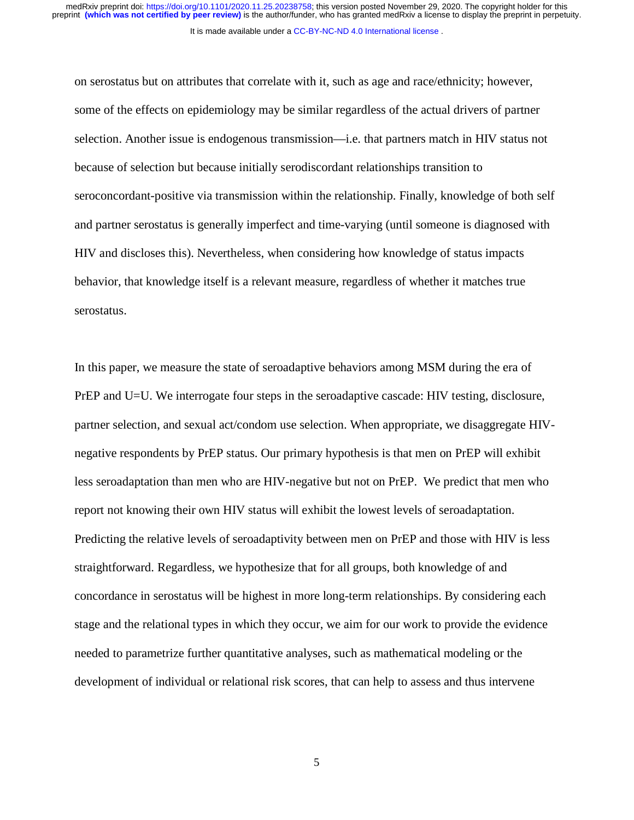It is made available under a [CC-BY-NC-ND 4.0 International license](http://creativecommons.org/licenses/by-nc-nd/4.0/) .

on serostatus but on attributes that correlate with it, such as age and race/ethnicity; however, some of the effects on epidemiology may be similar regardless of the actual drivers of partner selection. Another issue is endogenous transmission—i.e. that partners match in HIV status not because of selection but because initially serodiscordant relationships transition to seroconcordant-positive via transmission within the relationship. Finally, knowledge of both self and partner serostatus is generally imperfect and time-varying (until someone is diagnosed with HIV and discloses this). Nevertheless, when considering how knowledge of status impacts behavior, that knowledge itself is a relevant measure, regardless of whether it matches true serostatus.

In this paper, we measure the state of seroadaptive behaviors among MSM during the era of PrEP and U=U. We interrogate four steps in the seroadaptive cascade: HIV testing, disclosure, partner selection, and sexual act/condom use selection. When appropriate, we disaggregate HIVnegative respondents by PrEP status. Our primary hypothesis is that men on PrEP will exhibit less seroadaptation than men who are HIV-negative but not on PrEP. We predict that men who report not knowing their own HIV status will exhibit the lowest levels of seroadaptation. Predicting the relative levels of seroadaptivity between men on PrEP and those with HIV is less straightforward. Regardless, we hypothesize that for all groups, both knowledge of and concordance in serostatus will be highest in more long-term relationships. By considering each stage and the relational types in which they occur, we aim for our work to provide the evidence needed to parametrize further quantitative analyses, such as mathematical modeling or the development of individual or relational risk scores, that can help to assess and thus intervene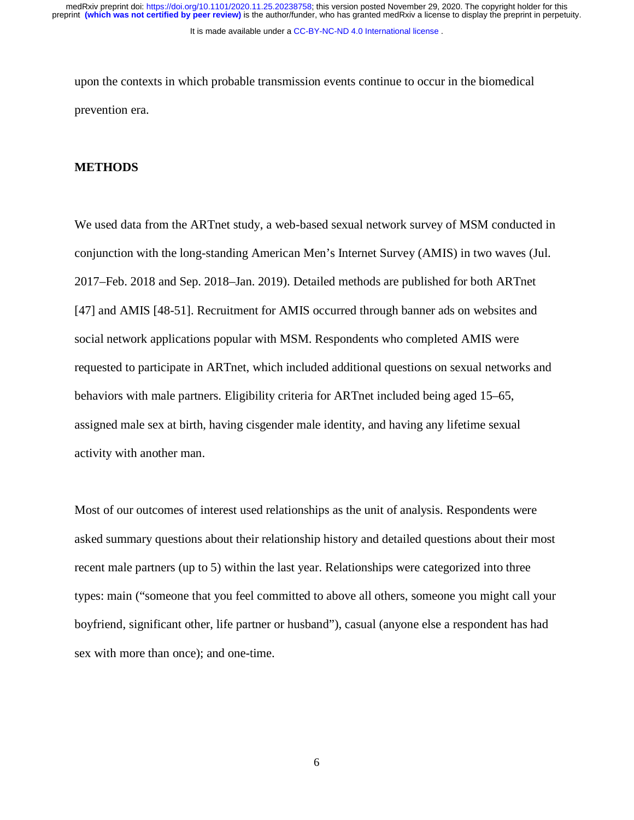It is made available under a [CC-BY-NC-ND 4.0 International license](http://creativecommons.org/licenses/by-nc-nd/4.0/) .

upon the contexts in which probable transmission events continue to occur in the biomedical prevention era.

## **METHODS**

We used data from the ARTnet study, a web-based sexual network survey of MSM conducted in conjunction with the long-standing American Men's Internet Survey (AMIS) in two waves (Jul. 2017–Feb. 2018 and Sep. 2018–Jan. 2019). Detailed methods are published for both ARTnet [47] and AMIS [48-51]. Recruitment for AMIS occurred through banner ads on websites and social network applications popular with MSM. Respondents who completed AMIS were requested to participate in ARTnet, which included additional questions on sexual networks and behaviors with male partners. Eligibility criteria for ARTnet included being aged 15–65, assigned male sex at birth, having cisgender male identity, and having any lifetime sexual activity with another man.

Most of our outcomes of interest used relationships as the unit of analysis. Respondents were asked summary questions about their relationship history and detailed questions about their most recent male partners (up to 5) within the last year. Relationships were categorized into three types: main ("someone that you feel committed to above all others, someone you might call your boyfriend, significant other, life partner or husband"), casual (anyone else a respondent has had sex with more than once); and one-time.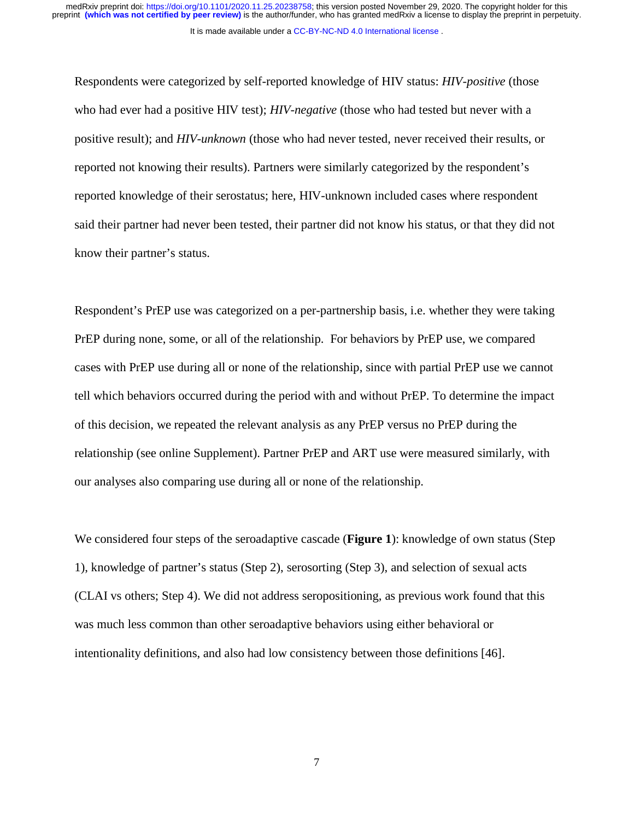It is made available under a [CC-BY-NC-ND 4.0 International license](http://creativecommons.org/licenses/by-nc-nd/4.0/) .

Respondents were categorized by self-reported knowledge of HIV status: *HIV-positive* (those who had ever had a positive HIV test); *HIV-negative* (those who had tested but never with a positive result); and *HIV-unknown* (those who had never tested, never received their results, or reported not knowing their results). Partners were similarly categorized by the respondent's reported knowledge of their serostatus; here, HIV-unknown included cases where respondent said their partner had never been tested, their partner did not know his status, or that they did not know their partner's status.

Respondent's PrEP use was categorized on a per-partnership basis, i.e. whether they were taking PrEP during none, some, or all of the relationship. For behaviors by PrEP use, we compared cases with PrEP use during all or none of the relationship, since with partial PrEP use we cannot tell which behaviors occurred during the period with and without PrEP. To determine the impact of this decision, we repeated the relevant analysis as any PrEP versus no PrEP during the relationship (see online Supplement). Partner PrEP and ART use were measured similarly, with our analyses also comparing use during all or none of the relationship.

We considered four steps of the seroadaptive cascade (**Figure 1**): knowledge of own status (Step 1), knowledge of partner's status (Step 2), serosorting (Step 3), and selection of sexual acts (CLAI vs others; Step 4). We did not address seropositioning, as previous work found that this was much less common than other seroadaptive behaviors using either behavioral or intentionality definitions, and also had low consistency between those definitions [46].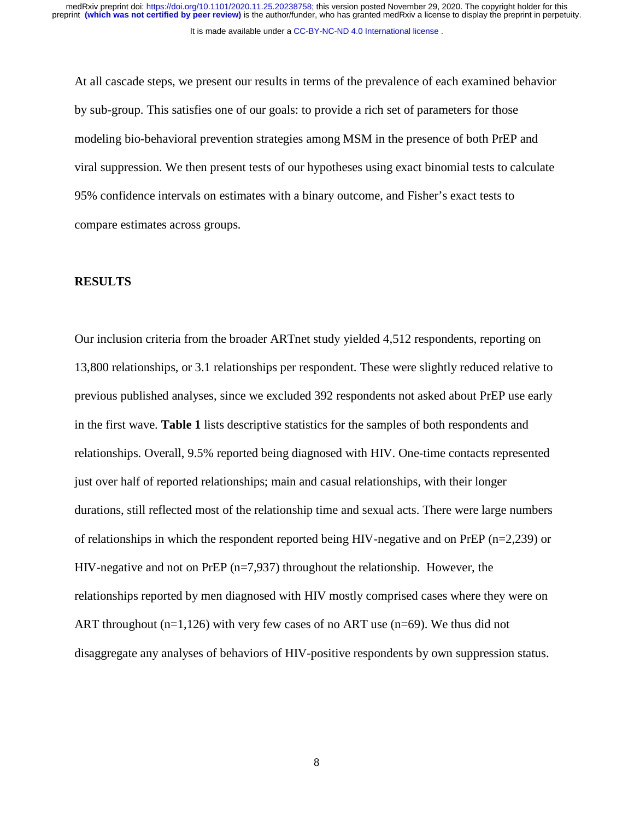At all cascade steps, we present our results in terms of the prevalence of each examined behavior by sub-group. This satisfies one of our goals: to provide a rich set of parameters for those modeling bio-behavioral prevention strategies among MSM in the presence of both PrEP and viral suppression. We then present tests of our hypotheses using exact binomial tests to calculate 95% confidence intervals on estimates with a binary outcome, and Fisher's exact tests to compare estimates across groups.

#### **RESULTS**

Our inclusion criteria from the broader ARTnet study yielded 4,512 respondents, reporting on 13,800 relationships, or 3.1 relationships per respondent. These were slightly reduced relative to previous published analyses, since we excluded 392 respondents not asked about PrEP use early in the first wave. **Table 1** lists descriptive statistics for the samples of both respondents and relationships. Overall, 9.5% reported being diagnosed with HIV. One-time contacts represented just over half of reported relationships; main and casual relationships, with their longer durations, still reflected most of the relationship time and sexual acts. There were large numbers of relationships in which the respondent reported being HIV-negative and on PrEP ( $n=2,239$ ) or HIV-negative and not on PrEP  $(n=7,937)$  throughout the relationship. However, the relationships reported by men diagnosed with HIV mostly comprised cases where they were on ART throughout  $(n=1,126)$  with very few cases of no ART use  $(n=69)$ . We thus did not disaggregate any analyses of behaviors of HIV-positive respondents by own suppression status.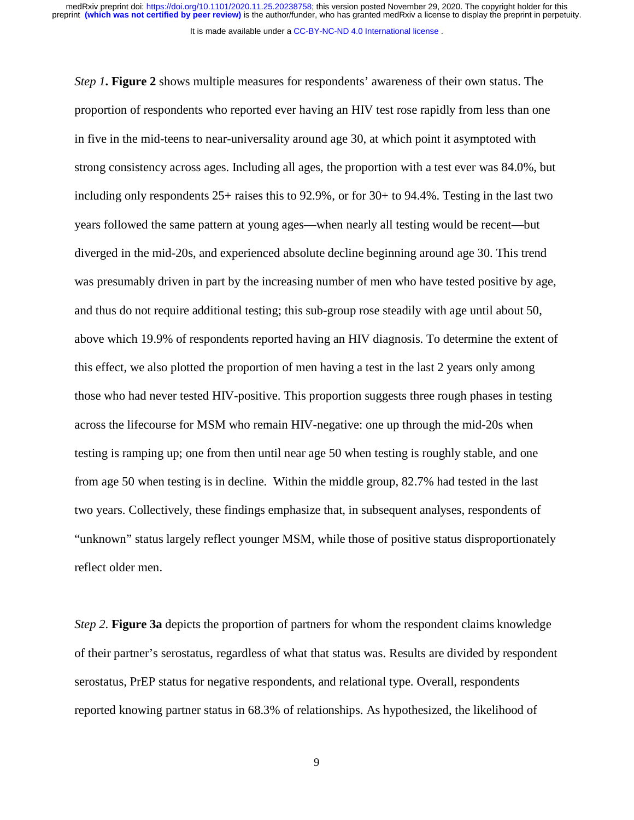It is made available under a [CC-BY-NC-ND 4.0 International license](http://creativecommons.org/licenses/by-nc-nd/4.0/) .

*Step 1***. Figure 2** shows multiple measures for respondents' awareness of their own status. The proportion of respondents who reported ever having an HIV test rose rapidly from less than one in five in the mid-teens to near-universality around age 30, at which point it asymptoted with strong consistency across ages. Including all ages, the proportion with a test ever was 84.0%, but including only respondents 25+ raises this to 92.9%, or for 30+ to 94.4%. Testing in the last two years followed the same pattern at young ages—when nearly all testing would be recent—but diverged in the mid-20s, and experienced absolute decline beginning around age 30. This trend was presumably driven in part by the increasing number of men who have tested positive by age, and thus do not require additional testing; this sub-group rose steadily with age until about 50, above which 19.9% of respondents reported having an HIV diagnosis. To determine the extent of this effect, we also plotted the proportion of men having a test in the last 2 years only among those who had never tested HIV-positive. This proportion suggests three rough phases in testing across the lifecourse for MSM who remain HIV-negative: one up through the mid-20s when testing is ramping up; one from then until near age 50 when testing is roughly stable, and one from age 50 when testing is in decline. Within the middle group, 82.7% had tested in the last two years. Collectively, these findings emphasize that, in subsequent analyses, respondents of "unknown" status largely reflect younger MSM, while those of positive status disproportionately reflect older men.

*Step 2*. **Figure 3a** depicts the proportion of partners for whom the respondent claims knowledge of their partner's serostatus, regardless of what that status was. Results are divided by respondent serostatus, PrEP status for negative respondents, and relational type. Overall, respondents reported knowing partner status in 68.3% of relationships. As hypothesized, the likelihood of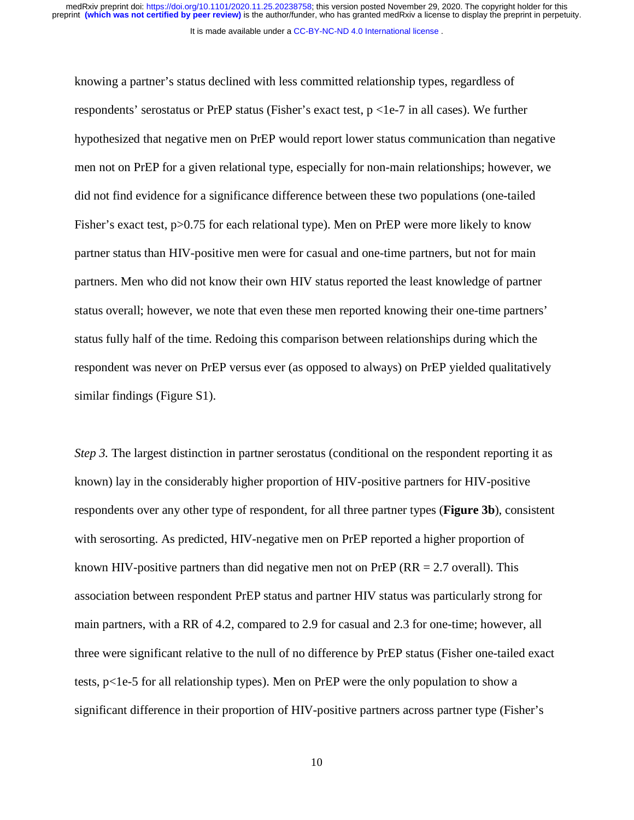It is made available under a [CC-BY-NC-ND 4.0 International license](http://creativecommons.org/licenses/by-nc-nd/4.0/) .

knowing a partner's status declined with less committed relationship types, regardless of respondents' serostatus or PrEP status (Fisher's exact test,  $p < 1e-7$  in all cases). We further hypothesized that negative men on PrEP would report lower status communication than negative men not on PrEP for a given relational type, especially for non-main relationships; however, we did not find evidence for a significance difference between these two populations (one-tailed Fisher's exact test, p > 0.75 for each relational type). Men on PrEP were more likely to know partner status than HIV-positive men were for casual and one-time partners, but not for main partners. Men who did not know their own HIV status reported the least knowledge of partner status overall; however, we note that even these men reported knowing their one-time partners' status fully half of the time. Redoing this comparison between relationships during which the respondent was never on PrEP versus ever (as opposed to always) on PrEP yielded qualitatively similar findings (Figure S1).

*Step 3.* The largest distinction in partner serostatus (conditional on the respondent reporting it as known) lay in the considerably higher proportion of HIV-positive partners for HIV-positive respondents over any other type of respondent, for all three partner types (**Figure 3b**), consistent with serosorting. As predicted, HIV-negative men on PrEP reported a higher proportion of known HIV-positive partners than did negative men not on PrEP ( $RR = 2.7$  overall). This association between respondent PrEP status and partner HIV status was particularly strong for main partners, with a RR of 4.2, compared to 2.9 for casual and 2.3 for one-time; however, all three were significant relative to the null of no difference by PrEP status (Fisher one-tailed exact tests, p<1e-5 for all relationship types). Men on PrEP were the only population to show a significant difference in their proportion of HIV-positive partners across partner type (Fisher's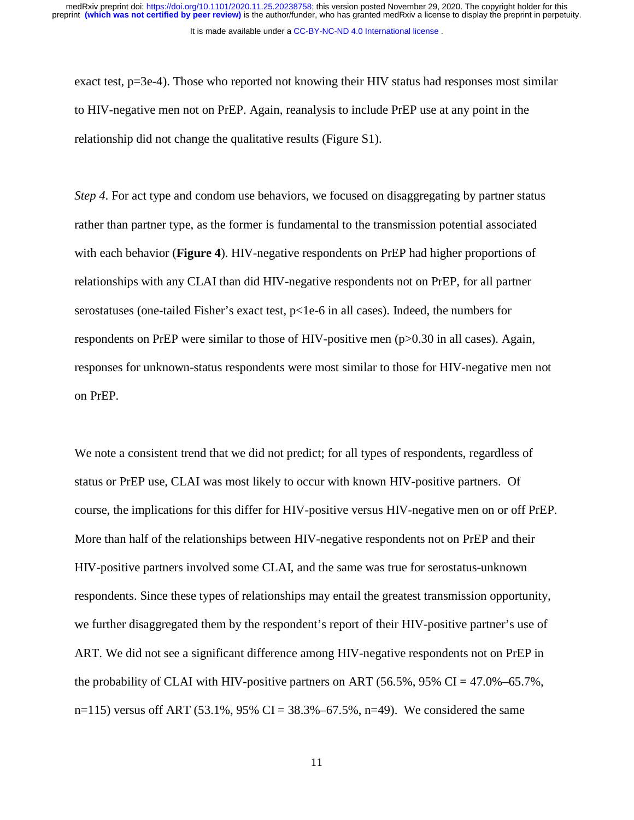It is made available under a [CC-BY-NC-ND 4.0 International license](http://creativecommons.org/licenses/by-nc-nd/4.0/) .

exact test, p=3e-4). Those who reported not knowing their HIV status had responses most similar to HIV-negative men not on PrEP. Again, reanalysis to include PrEP use at any point in the relationship did not change the qualitative results (Figure S1).

*Step 4*. For act type and condom use behaviors, we focused on disaggregating by partner status rather than partner type, as the former is fundamental to the transmission potential associated with each behavior (**Figure 4**). HIV-negative respondents on PrEP had higher proportions of relationships with any CLAI than did HIV-negative respondents not on PrEP, for all partner serostatuses (one-tailed Fisher's exact test,  $p<1e-6$  in all cases). Indeed, the numbers for respondents on PrEP were similar to those of HIV-positive men (p>0.30 in all cases). Again, responses for unknown-status respondents were most similar to those for HIV-negative men not on PrEP.

We note a consistent trend that we did not predict; for all types of respondents, regardless of status or PrEP use, CLAI was most likely to occur with known HIV-positive partners. Of course, the implications for this differ for HIV-positive versus HIV-negative men on or off PrEP. More than half of the relationships between HIV-negative respondents not on PrEP and their HIV-positive partners involved some CLAI, and the same was true for serostatus-unknown respondents. Since these types of relationships may entail the greatest transmission opportunity, we further disaggregated them by the respondent's report of their HIV-positive partner's use of ART. We did not see a significant difference among HIV-negative respondents not on PrEP in the probability of CLAI with HIV-positive partners on ART (56.5%, 95% CI = 47.0%–65.7%, n=115) versus off ART (53.1%, 95% CI = 38.3%–67.5%, n=49). We considered the same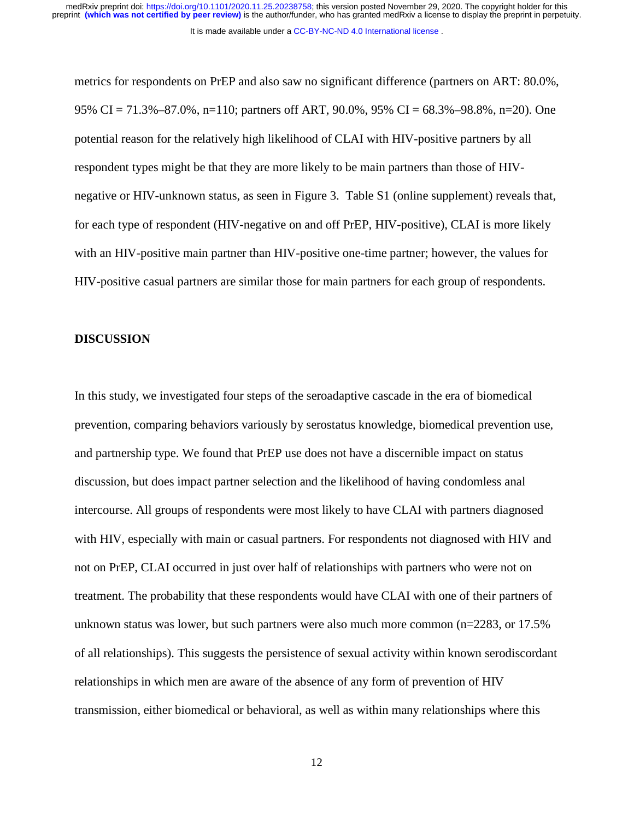It is made available under a [CC-BY-NC-ND 4.0 International license](http://creativecommons.org/licenses/by-nc-nd/4.0/) .

metrics for respondents on PrEP and also saw no significant difference (partners on ART: 80.0%, 95% CI = 71.3%–87.0%, n=110; partners off ART, 90.0%, 95% CI = 68.3%–98.8%, n=20). One potential reason for the relatively high likelihood of CLAI with HIV-positive partners by all respondent types might be that they are more likely to be main partners than those of HIVnegative or HIV-unknown status, as seen in Figure 3. Table S1 (online supplement) reveals that, for each type of respondent (HIV-negative on and off PrEP, HIV-positive), CLAI is more likely with an HIV-positive main partner than HIV-positive one-time partner; however, the values for HIV-positive casual partners are similar those for main partners for each group of respondents.

#### **DISCUSSION**

In this study, we investigated four steps of the seroadaptive cascade in the era of biomedical prevention, comparing behaviors variously by serostatus knowledge, biomedical prevention use, and partnership type. We found that PrEP use does not have a discernible impact on status discussion, but does impact partner selection and the likelihood of having condomless anal intercourse. All groups of respondents were most likely to have CLAI with partners diagnosed with HIV, especially with main or casual partners. For respondents not diagnosed with HIV and not on PrEP, CLAI occurred in just over half of relationships with partners who were not on treatment. The probability that these respondents would have CLAI with one of their partners of unknown status was lower, but such partners were also much more common (n=2283, or 17.5% of all relationships). This suggests the persistence of sexual activity within known serodiscordant relationships in which men are aware of the absence of any form of prevention of HIV transmission, either biomedical or behavioral, as well as within many relationships where this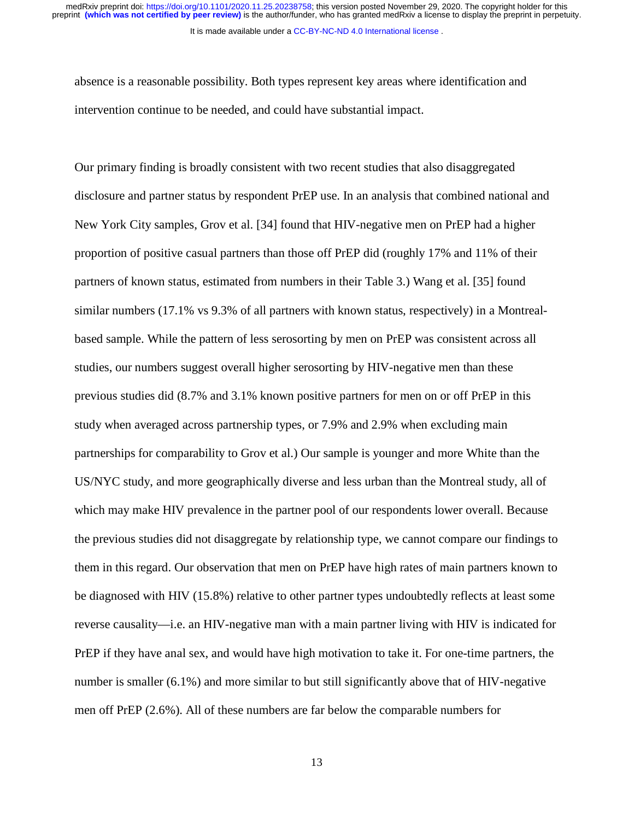It is made available under a [CC-BY-NC-ND 4.0 International license](http://creativecommons.org/licenses/by-nc-nd/4.0/) .

absence is a reasonable possibility. Both types represent key areas where identification and intervention continue to be needed, and could have substantial impact.

Our primary finding is broadly consistent with two recent studies that also disaggregated disclosure and partner status by respondent PrEP use. In an analysis that combined national and New York City samples, Grov et al. [34] found that HIV-negative men on PrEP had a higher proportion of positive casual partners than those off PrEP did (roughly 17% and 11% of their partners of known status, estimated from numbers in their Table 3.) Wang et al. [35] found similar numbers (17.1% vs 9.3% of all partners with known status, respectively) in a Montrealbased sample. While the pattern of less serosorting by men on PrEP was consistent across all studies, our numbers suggest overall higher serosorting by HIV-negative men than these previous studies did (8.7% and 3.1% known positive partners for men on or off PrEP in this study when averaged across partnership types, or 7.9% and 2.9% when excluding main partnerships for comparability to Grov et al.) Our sample is younger and more White than the US/NYC study, and more geographically diverse and less urban than the Montreal study, all of which may make HIV prevalence in the partner pool of our respondents lower overall. Because the previous studies did not disaggregate by relationship type, we cannot compare our findings to them in this regard. Our observation that men on PrEP have high rates of main partners known to be diagnosed with HIV (15.8%) relative to other partner types undoubtedly reflects at least some reverse causality—i.e. an HIV-negative man with a main partner living with HIV is indicated for PrEP if they have anal sex, and would have high motivation to take it. For one-time partners, the number is smaller (6.1%) and more similar to but still significantly above that of HIV-negative men off PrEP (2.6%). All of these numbers are far below the comparable numbers for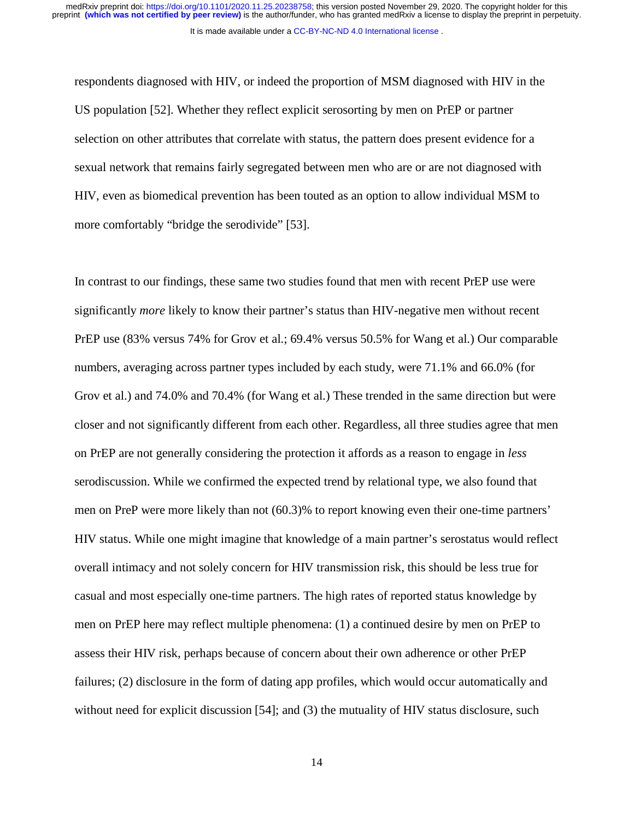It is made available under a [CC-BY-NC-ND 4.0 International license](http://creativecommons.org/licenses/by-nc-nd/4.0/) .

respondents diagnosed with HIV, or indeed the proportion of MSM diagnosed with HIV in the US population [52]. Whether they reflect explicit serosorting by men on PrEP or partner selection on other attributes that correlate with status, the pattern does present evidence for a sexual network that remains fairly segregated between men who are or are not diagnosed with HIV, even as biomedical prevention has been touted as an option to allow individual MSM to more comfortably "bridge the serodivide" [53].

In contrast to our findings, these same two studies found that men with recent PrEP use were significantly *more* likely to know their partner's status than HIV-negative men without recent PrEP use (83% versus 74% for Grov et al.; 69.4% versus 50.5% for Wang et al.) Our comparable numbers, averaging across partner types included by each study, were 71.1% and 66.0% (for Grov et al.) and 74.0% and 70.4% (for Wang et al.) These trended in the same direction but were closer and not significantly different from each other. Regardless, all three studies agree that men on PrEP are not generally considering the protection it affords as a reason to engage in *less* serodiscussion. While we confirmed the expected trend by relational type, we also found that men on PreP were more likely than not (60.3)% to report knowing even their one-time partners' HIV status. While one might imagine that knowledge of a main partner's serostatus would reflect overall intimacy and not solely concern for HIV transmission risk, this should be less true for casual and most especially one-time partners. The high rates of reported status knowledge by men on PrEP here may reflect multiple phenomena: (1) a continued desire by men on PrEP to assess their HIV risk, perhaps because of concern about their own adherence or other PrEP failures; (2) disclosure in the form of dating app profiles, which would occur automatically and without need for explicit discussion [54]; and (3) the mutuality of HIV status disclosure, such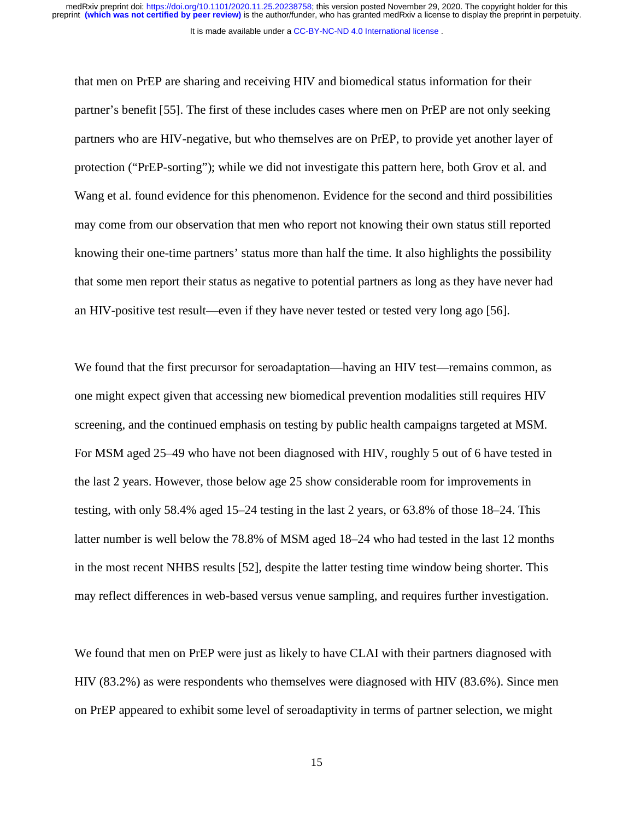It is made available under a [CC-BY-NC-ND 4.0 International license](http://creativecommons.org/licenses/by-nc-nd/4.0/) .

that men on PrEP are sharing and receiving HIV and biomedical status information for their partner's benefit [55]. The first of these includes cases where men on PrEP are not only seeking partners who are HIV-negative, but who themselves are on PrEP, to provide yet another layer of protection ("PrEP-sorting"); while we did not investigate this pattern here, both Grov et al. and Wang et al. found evidence for this phenomenon. Evidence for the second and third possibilities may come from our observation that men who report not knowing their own status still reported knowing their one-time partners' status more than half the time. It also highlights the possibility that some men report their status as negative to potential partners as long as they have never had an HIV-positive test result—even if they have never tested or tested very long ago [56].

We found that the first precursor for seroadaptation—having an HIV test—remains common, as one might expect given that accessing new biomedical prevention modalities still requires HIV screening, and the continued emphasis on testing by public health campaigns targeted at MSM. For MSM aged 25–49 who have not been diagnosed with HIV, roughly 5 out of 6 have tested in the last 2 years. However, those below age 25 show considerable room for improvements in testing, with only 58.4% aged 15–24 testing in the last 2 years, or 63.8% of those 18–24. This latter number is well below the 78.8% of MSM aged 18–24 who had tested in the last 12 months in the most recent NHBS results [52], despite the latter testing time window being shorter. This may reflect differences in web-based versus venue sampling, and requires further investigation.

We found that men on PrEP were just as likely to have CLAI with their partners diagnosed with HIV (83.2%) as were respondents who themselves were diagnosed with HIV (83.6%). Since men on PrEP appeared to exhibit some level of seroadaptivity in terms of partner selection, we might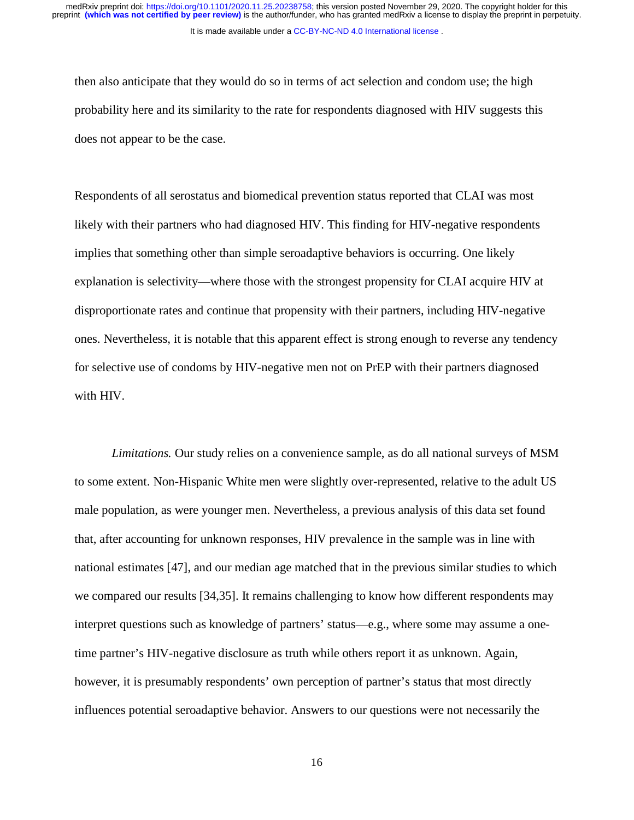It is made available under a [CC-BY-NC-ND 4.0 International license](http://creativecommons.org/licenses/by-nc-nd/4.0/) .

then also anticipate that they would do so in terms of act selection and condom use; the high probability here and its similarity to the rate for respondents diagnosed with HIV suggests this does not appear to be the case.

Respondents of all serostatus and biomedical prevention status reported that CLAI was most likely with their partners who had diagnosed HIV. This finding for HIV-negative respondents implies that something other than simple seroadaptive behaviors is occurring. One likely explanation is selectivity—where those with the strongest propensity for CLAI acquire HIV at disproportionate rates and continue that propensity with their partners, including HIV-negative ones. Nevertheless, it is notable that this apparent effect is strong enough to reverse any tendency for selective use of condoms by HIV-negative men not on PrEP with their partners diagnosed with HIV.

*Limitations.* Our study relies on a convenience sample, as do all national surveys of MSM to some extent. Non-Hispanic White men were slightly over-represented, relative to the adult US male population, as were younger men. Nevertheless, a previous analysis of this data set found that, after accounting for unknown responses, HIV prevalence in the sample was in line with national estimates [47], and our median age matched that in the previous similar studies to which we compared our results [34,35]. It remains challenging to know how different respondents may interpret questions such as knowledge of partners' status—e.g., where some may assume a onetime partner's HIV-negative disclosure as truth while others report it as unknown. Again, however, it is presumably respondents' own perception of partner's status that most directly influences potential seroadaptive behavior. Answers to our questions were not necessarily the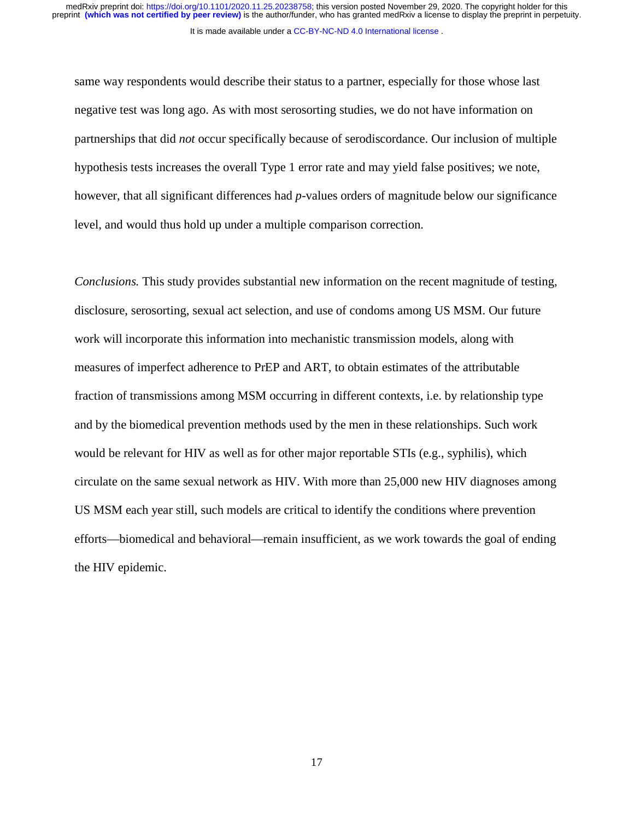It is made available under a [CC-BY-NC-ND 4.0 International license](http://creativecommons.org/licenses/by-nc-nd/4.0/) . preprint **(which was not certified by peer review)** is the author/funder, who has granted medRxiv a license to display the preprint in perpetuity. medRxiv preprint doi: [https://doi.org/10.1101/2020.11.25.20238758;](https://doi.org/10.1101/2020.11.25.20238758) this version posted November 29, 2020. The copyright holder for this

same way respondents would describe their status to a partner, especially for those whose last negative test was long ago. As with most serosorting studies, we do not have information on partnerships that did *not* occur specifically because of serodiscordance. Our inclusion of multiple hypothesis tests increases the overall Type 1 error rate and may yield false positives; we note, however, that all significant differences had *p*-values orders of magnitude below our significance level, and would thus hold up under a multiple comparison correction.

*Conclusions.* This study provides substantial new information on the recent magnitude of testing, disclosure, serosorting, sexual act selection, and use of condoms among US MSM. Our future work will incorporate this information into mechanistic transmission models, along with measures of imperfect adherence to PrEP and ART, to obtain estimates of the attributable fraction of transmissions among MSM occurring in different contexts, i.e. by relationship type and by the biomedical prevention methods used by the men in these relationships. Such work would be relevant for HIV as well as for other major reportable STIs (e.g., syphilis), which circulate on the same sexual network as HIV. With more than 25,000 new HIV diagnoses among US MSM each year still, such models are critical to identify the conditions where prevention efforts—biomedical and behavioral—remain insufficient, as we work towards the goal of ending the HIV epidemic.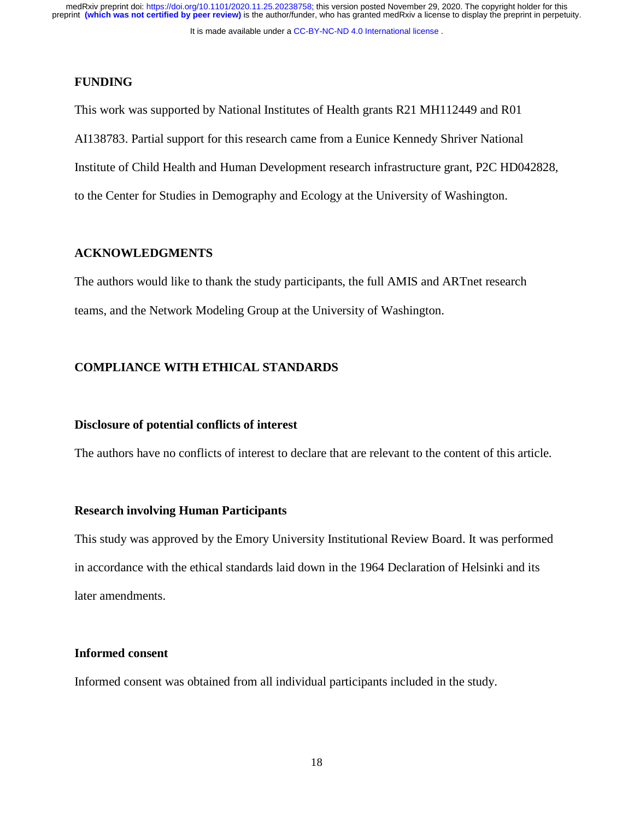It is made available under a [CC-BY-NC-ND 4.0 International license](http://creativecommons.org/licenses/by-nc-nd/4.0/) .

#### **FUNDING**

This work was supported by National Institutes of Health grants R21 MH112449 and R01 AI138783. Partial support for this research came from a Eunice Kennedy Shriver National Institute of Child Health and Human Development research infrastructure grant, P2C HD042828, to the Center for Studies in Demography and Ecology at the University of Washington.

#### **ACKNOWLEDGMENTS**

The authors would like to thank the study participants, the full AMIS and ARTnet research teams, and the Network Modeling Group at the University of Washington.

## **COMPLIANCE WITH ETHICAL STANDARDS**

### **Disclosure of potential conflicts of interest**

The authors have no conflicts of interest to declare that are relevant to the content of this article.

#### **Research involving Human Participants**

This study was approved by the Emory University Institutional Review Board. It was performed in accordance with the ethical standards laid down in the 1964 Declaration of Helsinki and its later amendments.

#### **Informed consent**

Informed consent was obtained from all individual participants included in the study.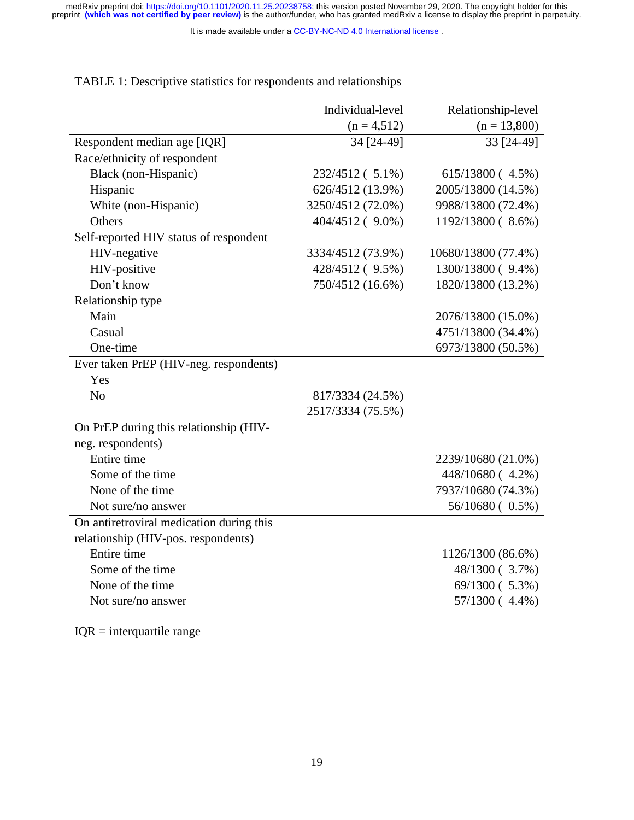It is made available under a [CC-BY-NC-ND 4.0 International license](http://creativecommons.org/licenses/by-nc-nd/4.0/) .

|                                          | Individual-level  | Relationship-level  |
|------------------------------------------|-------------------|---------------------|
|                                          | $(n = 4, 512)$    | $(n = 13,800)$      |
| Respondent median age [IQR]              | 34 [24-49]        | 33 [24-49]          |
| Race/ethnicity of respondent             |                   |                     |
| Black (non-Hispanic)                     | 232/4512 (5.1%)   | 615/13800 (4.5%)    |
| Hispanic                                 | 626/4512 (13.9%)  | 2005/13800 (14.5%)  |
| White (non-Hispanic)                     | 3250/4512 (72.0%) | 9988/13800 (72.4%)  |
| Others                                   | 404/4512 ( 9.0%)  | 1192/13800 (8.6%)   |
| Self-reported HIV status of respondent   |                   |                     |
| HIV-negative                             | 3334/4512 (73.9%) | 10680/13800 (77.4%) |
| HIV-positive                             | 428/4512 ( 9.5%)  | 1300/13800 (9.4%)   |
| Don't know                               | 750/4512 (16.6%)  | 1820/13800 (13.2%)  |
| Relationship type                        |                   |                     |
| Main                                     |                   | 2076/13800 (15.0%)  |
| Casual                                   |                   | 4751/13800 (34.4%)  |
| One-time                                 |                   | 6973/13800 (50.5%)  |
| Ever taken PrEP (HIV-neg. respondents)   |                   |                     |
| Yes                                      |                   |                     |
| N <sub>o</sub>                           | 817/3334 (24.5%)  |                     |
|                                          | 2517/3334 (75.5%) |                     |
| On PrEP during this relationship (HIV-   |                   |                     |
| neg. respondents)                        |                   |                     |
| Entire time                              |                   | 2239/10680 (21.0%)  |
| Some of the time                         |                   | 448/10680 (4.2%)    |
| None of the time                         |                   | 7937/10680 (74.3%)  |
| Not sure/no answer                       |                   | 56/10680 (0.5%)     |
| On antiretroviral medication during this |                   |                     |
| relationship (HIV-pos. respondents)      |                   |                     |
| Entire time                              |                   | 1126/1300 (86.6%)   |
| Some of the time                         |                   | 48/1300 (3.7%)      |
| None of the time                         |                   | 69/1300 (5.3%)      |
| Not sure/no answer                       |                   | 57/1300 (4.4%)      |

TABLE 1: Descriptive statistics for respondents and relationships

IQR = interquartile range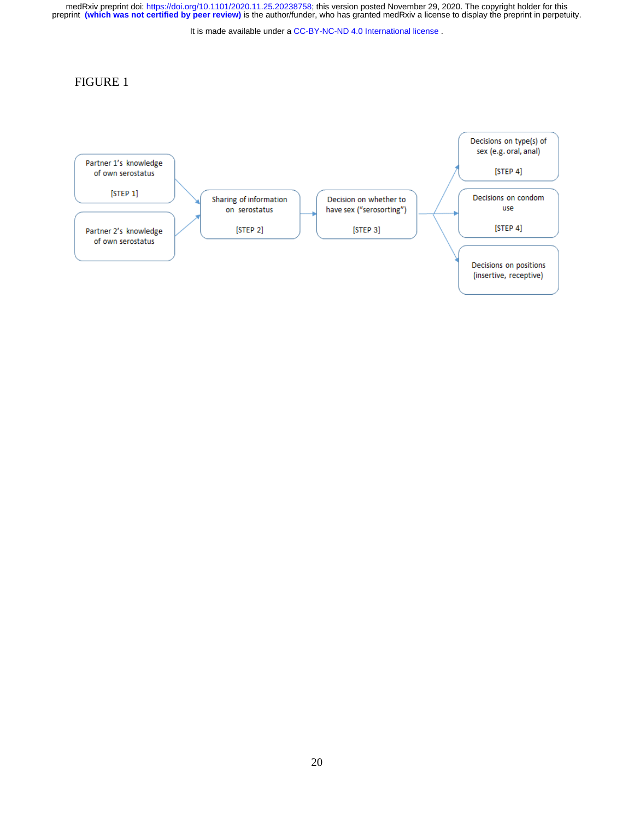It is made available under a [CC-BY-NC-ND 4.0 International license](http://creativecommons.org/licenses/by-nc-nd/4.0/) .

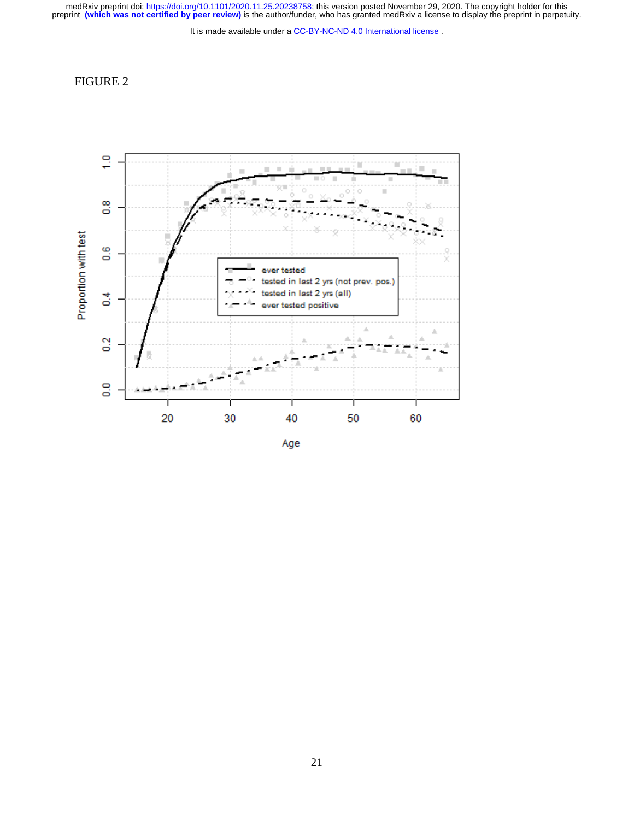It is made available under a [CC-BY-NC-ND 4.0 International license](http://creativecommons.org/licenses/by-nc-nd/4.0/) .



Age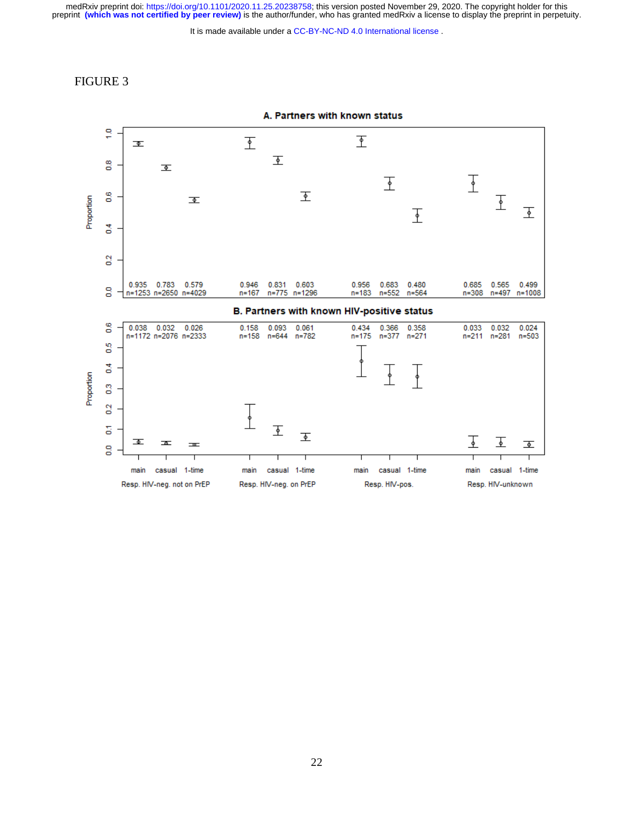It is made available under a [CC-BY-NC-ND 4.0 International license](http://creativecommons.org/licenses/by-nc-nd/4.0/) .

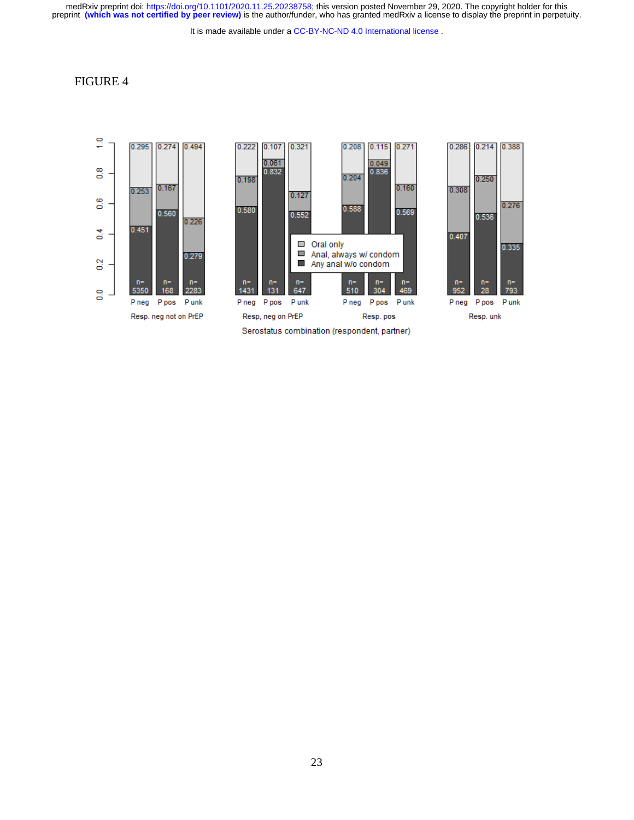It is made available under a [CC-BY-NC-ND 4.0 International license](http://creativecommons.org/licenses/by-nc-nd/4.0/) .

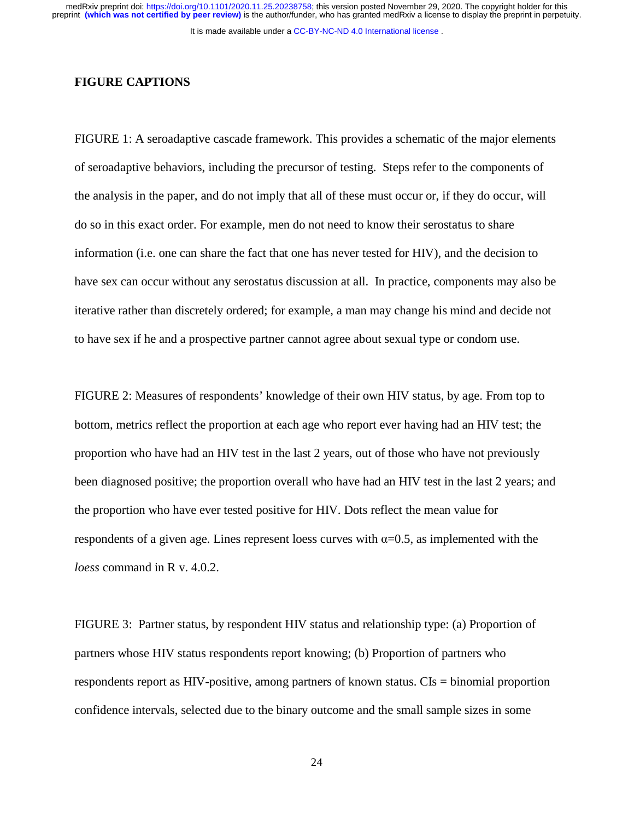It is made available under a [CC-BY-NC-ND 4.0 International license](http://creativecommons.org/licenses/by-nc-nd/4.0/) .

#### **FIGURE CAPTIONS**

FIGURE 1: A seroadaptive cascade framework. This provides a schematic of the major elements of seroadaptive behaviors, including the precursor of testing. Steps refer to the components of the analysis in the paper, and do not imply that all of these must occur or, if they do occur, will do so in this exact order. For example, men do not need to know their serostatus to share information (i.e. one can share the fact that one has never tested for HIV), and the decision to have sex can occur without any serostatus discussion at all. In practice, components may also be iterative rather than discretely ordered; for example, a man may change his mind and decide not to have sex if he and a prospective partner cannot agree about sexual type or condom use.

FIGURE 2: Measures of respondents' knowledge of their own HIV status, by age. From top to bottom, metrics reflect the proportion at each age who report ever having had an HIV test; the proportion who have had an HIV test in the last 2 years, out of those who have not previously been diagnosed positive; the proportion overall who have had an HIV test in the last 2 years; and the proportion who have ever tested positive for HIV. Dots reflect the mean value for respondents of a given age. Lines represent loess curves with  $\alpha$ =0.5, as implemented with the *loess* command in R v. 4.0.2.

FIGURE 3: Partner status, by respondent HIV status and relationship type: (a) Proportion of partners whose HIV status respondents report knowing; (b) Proportion of partners who respondents report as HIV-positive, among partners of known status. CIs = binomial proportion confidence intervals, selected due to the binary outcome and the small sample sizes in some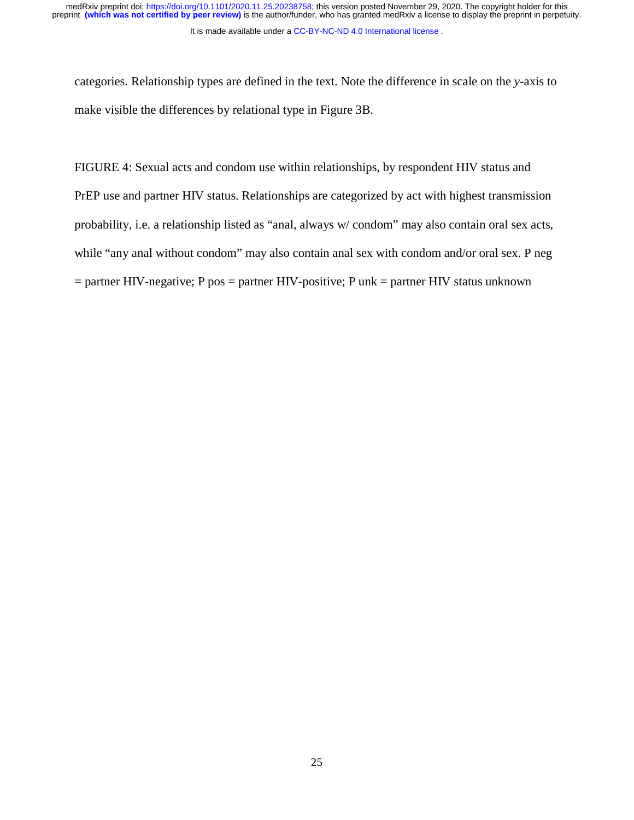It is made available under a CC-BY-NC-ND 4.0 International license.

categories. Relationship types are defined in the text. Note the difference in scale on the *y*-axis to make visible the differences by relational type in Figure 3B.

FIGURE 4: Sexual acts and condom use within relationships, by respondent HIV status and PrEP use and partner HIV status. Relationships are categorized by act with highest transmission probability, i.e. a relationship listed as "anal, always w/ condom" may also contain oral sex acts, while "any anal without condom" may also contain anal sex with condom and/or oral sex. P neg  $=$  partner HIV-negative; P pos  $=$  partner HIV-positive; P unk  $=$  partner HIV status unknown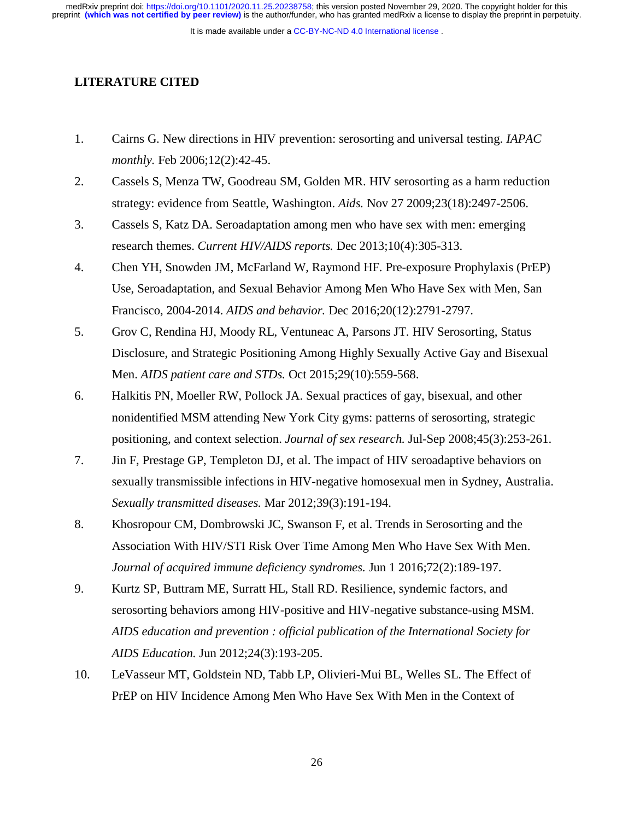It is made available under a [CC-BY-NC-ND 4.0 International license](http://creativecommons.org/licenses/by-nc-nd/4.0/) .

### **LITERATURE CITED**

- 1. Cairns G. New directions in HIV prevention: serosorting and universal testing. *IAPAC monthly.* Feb 2006;12(2):42-45.
- 2. Cassels S, Menza TW, Goodreau SM, Golden MR. HIV serosorting as a harm reduction strategy: evidence from Seattle, Washington. *Aids.* Nov 27 2009;23(18):2497-2506.
- 3. Cassels S, Katz DA. Seroadaptation among men who have sex with men: emerging research themes. *Current HIV/AIDS reports.* Dec 2013;10(4):305-313.
- 4. Chen YH, Snowden JM, McFarland W, Raymond HF. Pre-exposure Prophylaxis (PrEP) Use, Seroadaptation, and Sexual Behavior Among Men Who Have Sex with Men, San Francisco, 2004-2014. *AIDS and behavior.* Dec 2016;20(12):2791-2797.
- 5. Grov C, Rendina HJ, Moody RL, Ventuneac A, Parsons JT. HIV Serosorting, Status Disclosure, and Strategic Positioning Among Highly Sexually Active Gay and Bisexual Men. *AIDS patient care and STDs.* Oct 2015;29(10):559-568.
- 6. Halkitis PN, Moeller RW, Pollock JA. Sexual practices of gay, bisexual, and other nonidentified MSM attending New York City gyms: patterns of serosorting, strategic positioning, and context selection. *Journal of sex research.* Jul-Sep 2008;45(3):253-261.
- 7. Jin F, Prestage GP, Templeton DJ, et al. The impact of HIV seroadaptive behaviors on sexually transmissible infections in HIV-negative homosexual men in Sydney, Australia. *Sexually transmitted diseases.* Mar 2012;39(3):191-194.
- 8. Khosropour CM, Dombrowski JC, Swanson F, et al. Trends in Serosorting and the Association With HIV/STI Risk Over Time Among Men Who Have Sex With Men. *Journal of acquired immune deficiency syndromes.* Jun 1 2016;72(2):189-197.
- 9. Kurtz SP, Buttram ME, Surratt HL, Stall RD. Resilience, syndemic factors, and serosorting behaviors among HIV-positive and HIV-negative substance-using MSM. *AIDS education and prevention : official publication of the International Society for AIDS Education.* Jun 2012;24(3):193-205.
- 10. LeVasseur MT, Goldstein ND, Tabb LP, Olivieri-Mui BL, Welles SL. The Effect of PrEP on HIV Incidence Among Men Who Have Sex With Men in the Context of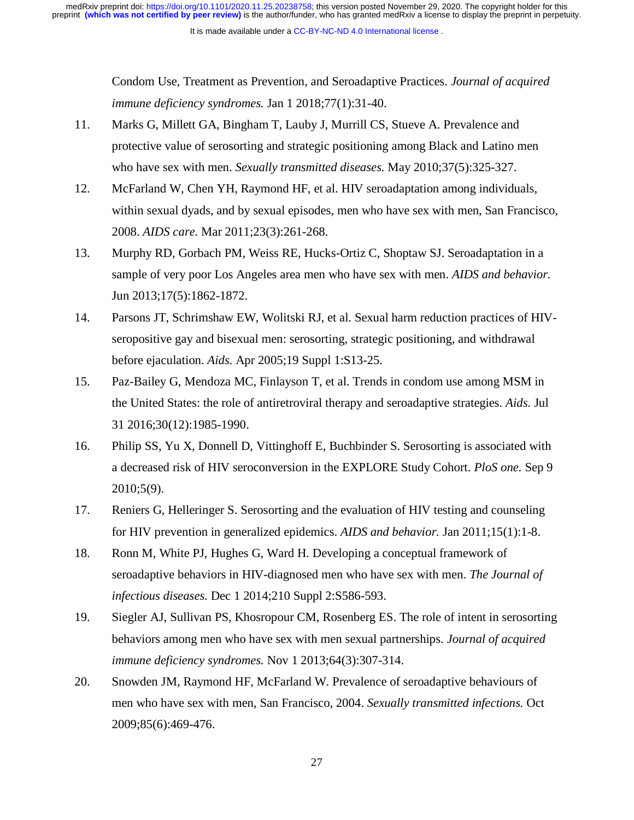Condom Use, Treatment as Prevention, and Seroadaptive Practices. *Journal of acquired immune deficiency syndromes.* Jan 1 2018;77(1):31-40.

- 11. Marks G, Millett GA, Bingham T, Lauby J, Murrill CS, Stueve A. Prevalence and protective value of serosorting and strategic positioning among Black and Latino men who have sex with men. *Sexually transmitted diseases.* May 2010;37(5):325-327.
- 12. McFarland W, Chen YH, Raymond HF, et al. HIV seroadaptation among individuals, within sexual dyads, and by sexual episodes, men who have sex with men, San Francisco, 2008. *AIDS care.* Mar 2011;23(3):261-268.
- 13. Murphy RD, Gorbach PM, Weiss RE, Hucks-Ortiz C, Shoptaw SJ. Seroadaptation in a sample of very poor Los Angeles area men who have sex with men. *AIDS and behavior.*  Jun 2013;17(5):1862-1872.
- 14. Parsons JT, Schrimshaw EW, Wolitski RJ, et al. Sexual harm reduction practices of HIVseropositive gay and bisexual men: serosorting, strategic positioning, and withdrawal before ejaculation. *Aids.* Apr 2005;19 Suppl 1:S13-25.
- 15. Paz-Bailey G, Mendoza MC, Finlayson T, et al. Trends in condom use among MSM in the United States: the role of antiretroviral therapy and seroadaptive strategies. *Aids.* Jul 31 2016;30(12):1985-1990.
- 16. Philip SS, Yu X, Donnell D, Vittinghoff E, Buchbinder S. Serosorting is associated with a decreased risk of HIV seroconversion in the EXPLORE Study Cohort. *PloS one.* Sep 9 2010;5(9).
- 17. Reniers G, Helleringer S. Serosorting and the evaluation of HIV testing and counseling for HIV prevention in generalized epidemics. *AIDS and behavior.* Jan 2011;15(1):1-8.
- 18. Ronn M, White PJ, Hughes G, Ward H. Developing a conceptual framework of seroadaptive behaviors in HIV-diagnosed men who have sex with men. *The Journal of infectious diseases.* Dec 1 2014;210 Suppl 2:S586-593.
- 19. Siegler AJ, Sullivan PS, Khosropour CM, Rosenberg ES. The role of intent in serosorting behaviors among men who have sex with men sexual partnerships. *Journal of acquired immune deficiency syndromes.* Nov 1 2013;64(3):307-314.
- 20. Snowden JM, Raymond HF, McFarland W. Prevalence of seroadaptive behaviours of men who have sex with men, San Francisco, 2004. *Sexually transmitted infections.* Oct 2009;85(6):469-476.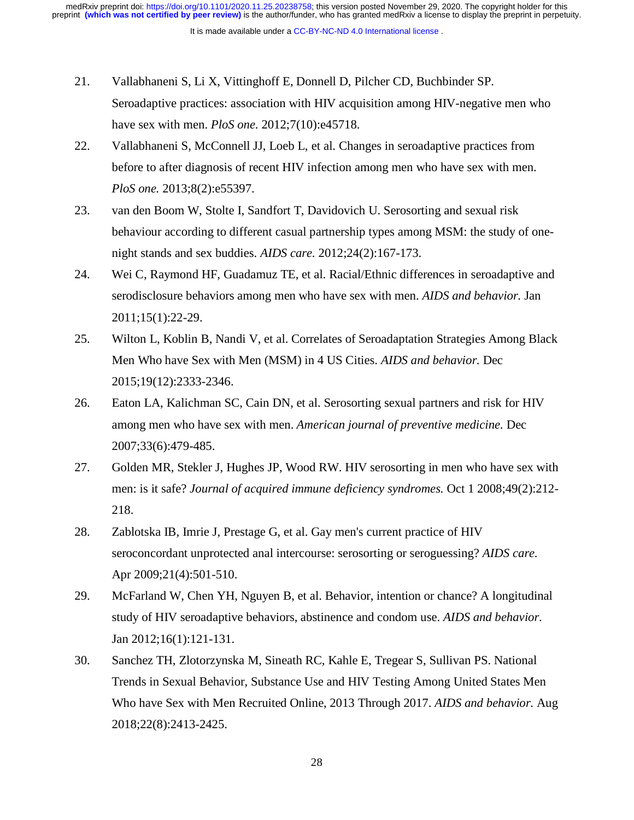- 21. Vallabhaneni S, Li X, Vittinghoff E, Donnell D, Pilcher CD, Buchbinder SP. Seroadaptive practices: association with HIV acquisition among HIV-negative men who have sex with men. *PloS one.* 2012;7(10):e45718.
- 22. Vallabhaneni S, McConnell JJ, Loeb L, et al. Changes in seroadaptive practices from before to after diagnosis of recent HIV infection among men who have sex with men. *PloS one.* 2013;8(2):e55397.
- 23. van den Boom W, Stolte I, Sandfort T, Davidovich U. Serosorting and sexual risk behaviour according to different casual partnership types among MSM: the study of onenight stands and sex buddies. *AIDS care.* 2012;24(2):167-173.
- 24. Wei C, Raymond HF, Guadamuz TE, et al. Racial/Ethnic differences in seroadaptive and serodisclosure behaviors among men who have sex with men. *AIDS and behavior.* Jan 2011;15(1):22-29.
- 25. Wilton L, Koblin B, Nandi V, et al. Correlates of Seroadaptation Strategies Among Black Men Who have Sex with Men (MSM) in 4 US Cities. *AIDS and behavior.* Dec 2015;19(12):2333-2346.
- 26. Eaton LA, Kalichman SC, Cain DN, et al. Serosorting sexual partners and risk for HIV among men who have sex with men. *American journal of preventive medicine.* Dec 2007;33(6):479-485.
- 27. Golden MR, Stekler J, Hughes JP, Wood RW. HIV serosorting in men who have sex with men: is it safe? *Journal of acquired immune deficiency syndromes.* Oct 1 2008;49(2):212- 218.
- 28. Zablotska IB, Imrie J, Prestage G, et al. Gay men's current practice of HIV seroconcordant unprotected anal intercourse: serosorting or seroguessing? *AIDS care.*  Apr 2009;21(4):501-510.
- 29. McFarland W, Chen YH, Nguyen B, et al. Behavior, intention or chance? A longitudinal study of HIV seroadaptive behaviors, abstinence and condom use. *AIDS and behavior.*  Jan 2012;16(1):121-131.
- 30. Sanchez TH, Zlotorzynska M, Sineath RC, Kahle E, Tregear S, Sullivan PS. National Trends in Sexual Behavior, Substance Use and HIV Testing Among United States Men Who have Sex with Men Recruited Online, 2013 Through 2017. *AIDS and behavior.* Aug 2018;22(8):2413-2425.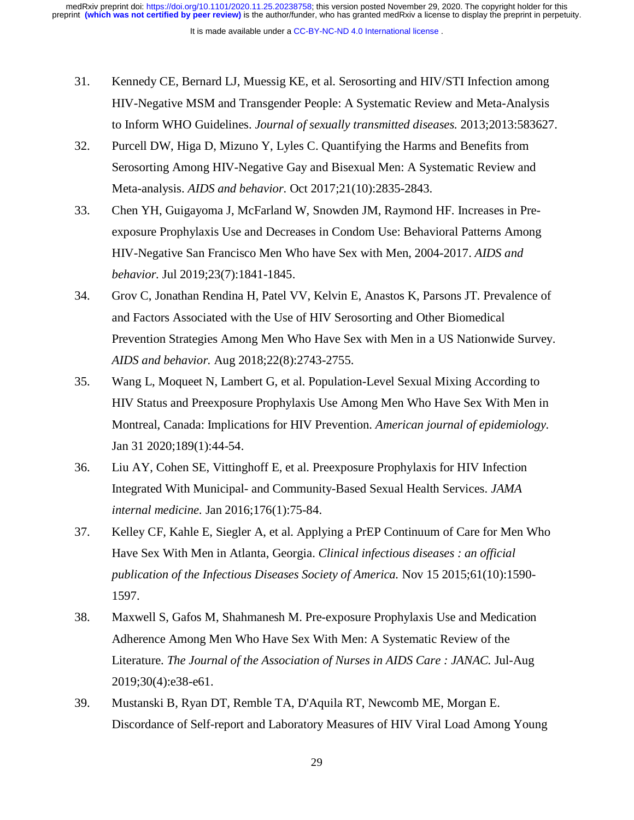It is made available under a [CC-BY-NC-ND 4.0 International license](http://creativecommons.org/licenses/by-nc-nd/4.0/) .

- 31. Kennedy CE, Bernard LJ, Muessig KE, et al. Serosorting and HIV/STI Infection among HIV-Negative MSM and Transgender People: A Systematic Review and Meta-Analysis to Inform WHO Guidelines. *Journal of sexually transmitted diseases.* 2013;2013:583627.
- 32. Purcell DW, Higa D, Mizuno Y, Lyles C. Quantifying the Harms and Benefits from Serosorting Among HIV-Negative Gay and Bisexual Men: A Systematic Review and Meta-analysis. *AIDS and behavior.* Oct 2017;21(10):2835-2843.
- 33. Chen YH, Guigayoma J, McFarland W, Snowden JM, Raymond HF. Increases in Preexposure Prophylaxis Use and Decreases in Condom Use: Behavioral Patterns Among HIV-Negative San Francisco Men Who have Sex with Men, 2004-2017. *AIDS and behavior.* Jul 2019;23(7):1841-1845.
- 34. Grov C, Jonathan Rendina H, Patel VV, Kelvin E, Anastos K, Parsons JT. Prevalence of and Factors Associated with the Use of HIV Serosorting and Other Biomedical Prevention Strategies Among Men Who Have Sex with Men in a US Nationwide Survey. *AIDS and behavior.* Aug 2018;22(8):2743-2755.
- 35. Wang L, Moqueet N, Lambert G, et al. Population-Level Sexual Mixing According to HIV Status and Preexposure Prophylaxis Use Among Men Who Have Sex With Men in Montreal, Canada: Implications for HIV Prevention. *American journal of epidemiology.*  Jan 31 2020;189(1):44-54.
- 36. Liu AY, Cohen SE, Vittinghoff E, et al. Preexposure Prophylaxis for HIV Infection Integrated With Municipal- and Community-Based Sexual Health Services. *JAMA internal medicine.* Jan 2016;176(1):75-84.
- 37. Kelley CF, Kahle E, Siegler A, et al. Applying a PrEP Continuum of Care for Men Who Have Sex With Men in Atlanta, Georgia. *Clinical infectious diseases : an official publication of the Infectious Diseases Society of America.* Nov 15 2015;61(10):1590- 1597.
- 38. Maxwell S, Gafos M, Shahmanesh M. Pre-exposure Prophylaxis Use and Medication Adherence Among Men Who Have Sex With Men: A Systematic Review of the Literature. *The Journal of the Association of Nurses in AIDS Care : JANAC.* Jul-Aug 2019;30(4):e38-e61.
- 39. Mustanski B, Ryan DT, Remble TA, D'Aquila RT, Newcomb ME, Morgan E. Discordance of Self-report and Laboratory Measures of HIV Viral Load Among Young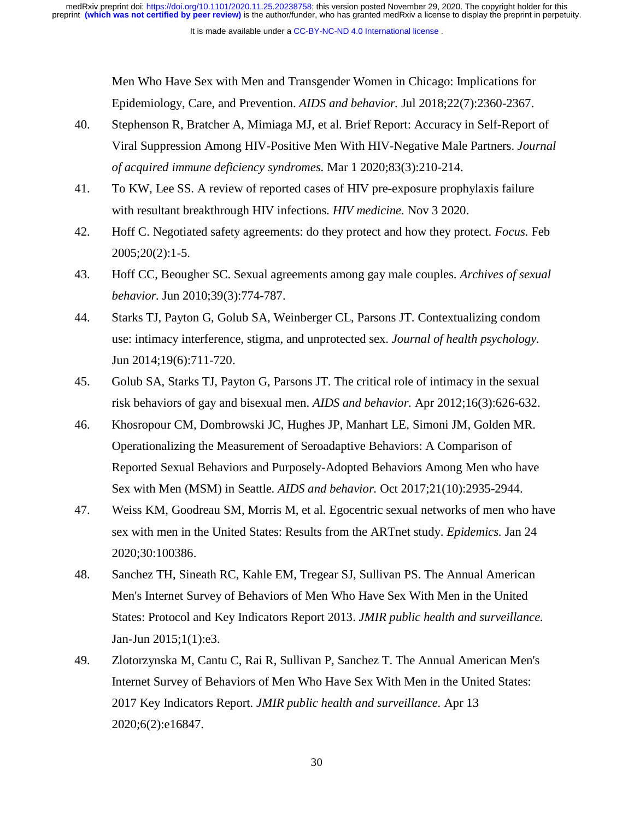Men Who Have Sex with Men and Transgender Women in Chicago: Implications for Epidemiology, Care, and Prevention. *AIDS and behavior.* Jul 2018;22(7):2360-2367.

- 40. Stephenson R, Bratcher A, Mimiaga MJ, et al. Brief Report: Accuracy in Self-Report of Viral Suppression Among HIV-Positive Men With HIV-Negative Male Partners. *Journal of acquired immune deficiency syndromes.* Mar 1 2020;83(3):210-214.
- 41. To KW, Lee SS. A review of reported cases of HIV pre-exposure prophylaxis failure with resultant breakthrough HIV infections. *HIV medicine.* Nov 3 2020.
- 42. Hoff C. Negotiated safety agreements: do they protect and how they protect. *Focus.* Feb 2005;20(2):1-5.
- 43. Hoff CC, Beougher SC. Sexual agreements among gay male couples. *Archives of sexual behavior.* Jun 2010;39(3):774-787.
- 44. Starks TJ, Payton G, Golub SA, Weinberger CL, Parsons JT. Contextualizing condom use: intimacy interference, stigma, and unprotected sex. *Journal of health psychology.*  Jun 2014;19(6):711-720.
- 45. Golub SA, Starks TJ, Payton G, Parsons JT. The critical role of intimacy in the sexual risk behaviors of gay and bisexual men. *AIDS and behavior.* Apr 2012;16(3):626-632.
- 46. Khosropour CM, Dombrowski JC, Hughes JP, Manhart LE, Simoni JM, Golden MR. Operationalizing the Measurement of Seroadaptive Behaviors: A Comparison of Reported Sexual Behaviors and Purposely-Adopted Behaviors Among Men who have Sex with Men (MSM) in Seattle. *AIDS and behavior.* Oct 2017;21(10):2935-2944.
- 47. Weiss KM, Goodreau SM, Morris M, et al. Egocentric sexual networks of men who have sex with men in the United States: Results from the ARTnet study. *Epidemics.* Jan 24 2020;30:100386.
- 48. Sanchez TH, Sineath RC, Kahle EM, Tregear SJ, Sullivan PS. The Annual American Men's Internet Survey of Behaviors of Men Who Have Sex With Men in the United States: Protocol and Key Indicators Report 2013. *JMIR public health and surveillance.*  Jan-Jun 2015;1(1):e3.
- 49. Zlotorzynska M, Cantu C, Rai R, Sullivan P, Sanchez T. The Annual American Men's Internet Survey of Behaviors of Men Who Have Sex With Men in the United States: 2017 Key Indicators Report. *JMIR public health and surveillance.* Apr 13 2020;6(2):e16847.